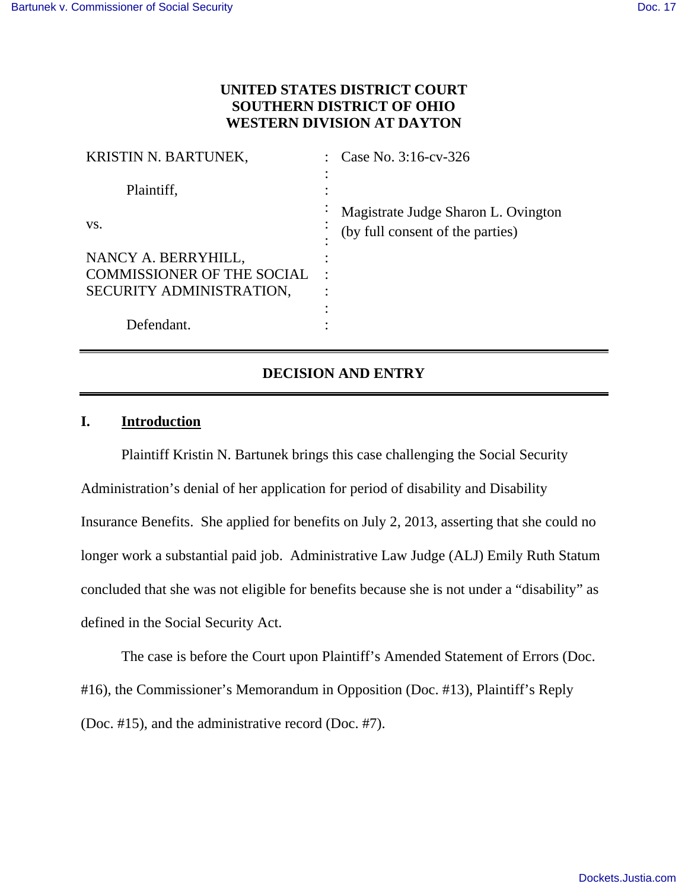## **UNITED STATES DISTRICT COURT SOUTHERN DISTRICT OF OHIO WESTERN DIVISION AT DAYTON**

| <b>KRISTIN N. BARTUNEK,</b>       | Case No. 3:16-cv-326                                                         |
|-----------------------------------|------------------------------------------------------------------------------|
| Plaintiff,                        |                                                                              |
| VS.                               | Magistrate Judge Sharon L. Ovington<br>٠<br>(by full consent of the parties) |
| NANCY A. BERRYHILL,               |                                                                              |
| <b>COMMISSIONER OF THE SOCIAL</b> | $\bullet$                                                                    |
| SECURITY ADMINISTRATION,          |                                                                              |
|                                   |                                                                              |
| Defendant.                        |                                                                              |

# **DECISION AND ENTRY**

## **I. Introduction**

Plaintiff Kristin N. Bartunek brings this case challenging the Social Security Administration's denial of her application for period of disability and Disability Insurance Benefits. She applied for benefits on July 2, 2013, asserting that she could no longer work a substantial paid job. Administrative Law Judge (ALJ) Emily Ruth Statum concluded that she was not eligible for benefits because she is not under a "disability" as defined in the Social Security Act.

The case is before the Court upon Plaintiff's Amended Statement of Errors (Doc. #16), the Commissioner's Memorandum in Opposition (Doc. #13), Plaintiff's Reply (Doc. #15), and the administrative record (Doc. #7).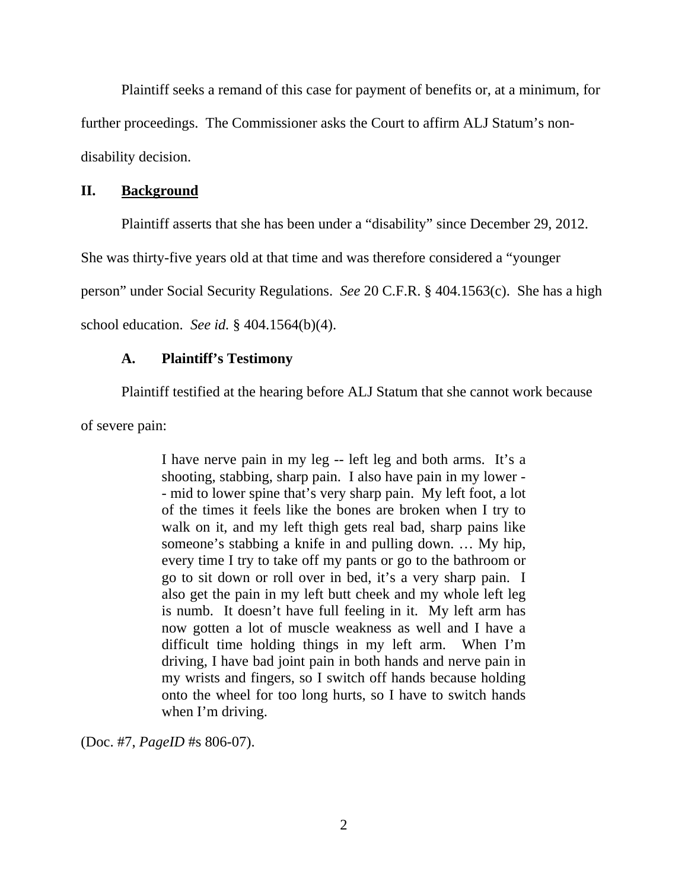Plaintiff seeks a remand of this case for payment of benefits or, at a minimum, for further proceedings. The Commissioner asks the Court to affirm ALJ Statum's nondisability decision.

#### **II. Background**

Plaintiff asserts that she has been under a "disability" since December 29, 2012.

She was thirty-five years old at that time and was therefore considered a "younger

person" under Social Security Regulations. *See* 20 C.F.R. § 404.1563(c). She has a high

school education. *See id.* § 404.1564(b)(4).

### **A. Plaintiff's Testimony**

Plaintiff testified at the hearing before ALJ Statum that she cannot work because

of severe pain:

I have nerve pain in my leg -- left leg and both arms. It's a shooting, stabbing, sharp pain. I also have pain in my lower - - mid to lower spine that's very sharp pain. My left foot, a lot of the times it feels like the bones are broken when I try to walk on it, and my left thigh gets real bad, sharp pains like someone's stabbing a knife in and pulling down. … My hip, every time I try to take off my pants or go to the bathroom or go to sit down or roll over in bed, it's a very sharp pain. I also get the pain in my left butt cheek and my whole left leg is numb. It doesn't have full feeling in it. My left arm has now gotten a lot of muscle weakness as well and I have a difficult time holding things in my left arm. When I'm driving, I have bad joint pain in both hands and nerve pain in my wrists and fingers, so I switch off hands because holding onto the wheel for too long hurts, so I have to switch hands when I'm driving.

(Doc. #7, *PageID* #s 806-07).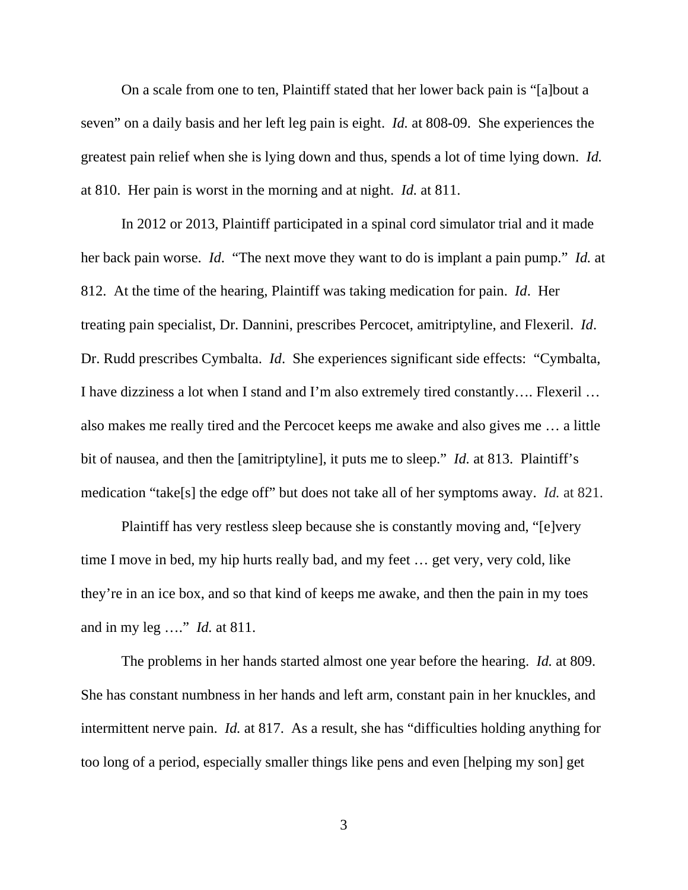On a scale from one to ten, Plaintiff stated that her lower back pain is "[a]bout a seven" on a daily basis and her left leg pain is eight. *Id.* at 808-09. She experiences the greatest pain relief when she is lying down and thus, spends a lot of time lying down. *Id.* at 810. Her pain is worst in the morning and at night. *Id.* at 811.

In 2012 or 2013, Plaintiff participated in a spinal cord simulator trial and it made her back pain worse. *Id*. "The next move they want to do is implant a pain pump." *Id.* at 812. At the time of the hearing, Plaintiff was taking medication for pain. *Id*. Her treating pain specialist, Dr. Dannini, prescribes Percocet, amitriptyline, and Flexeril. *Id*. Dr. Rudd prescribes Cymbalta. *Id*. She experiences significant side effects: "Cymbalta, I have dizziness a lot when I stand and I'm also extremely tired constantly…. Flexeril … also makes me really tired and the Percocet keeps me awake and also gives me … a little bit of nausea, and then the [amitriptyline], it puts me to sleep." *Id.* at 813. Plaintiff's medication "take[s] the edge off" but does not take all of her symptoms away. *Id.* at 821.

Plaintiff has very restless sleep because she is constantly moving and, "[e]very time I move in bed, my hip hurts really bad, and my feet … get very, very cold, like they're in an ice box, and so that kind of keeps me awake, and then the pain in my toes and in my leg …." *Id.* at 811.

The problems in her hands started almost one year before the hearing. *Id.* at 809. She has constant numbness in her hands and left arm, constant pain in her knuckles, and intermittent nerve pain. *Id.* at 817. As a result, she has "difficulties holding anything for too long of a period, especially smaller things like pens and even [helping my son] get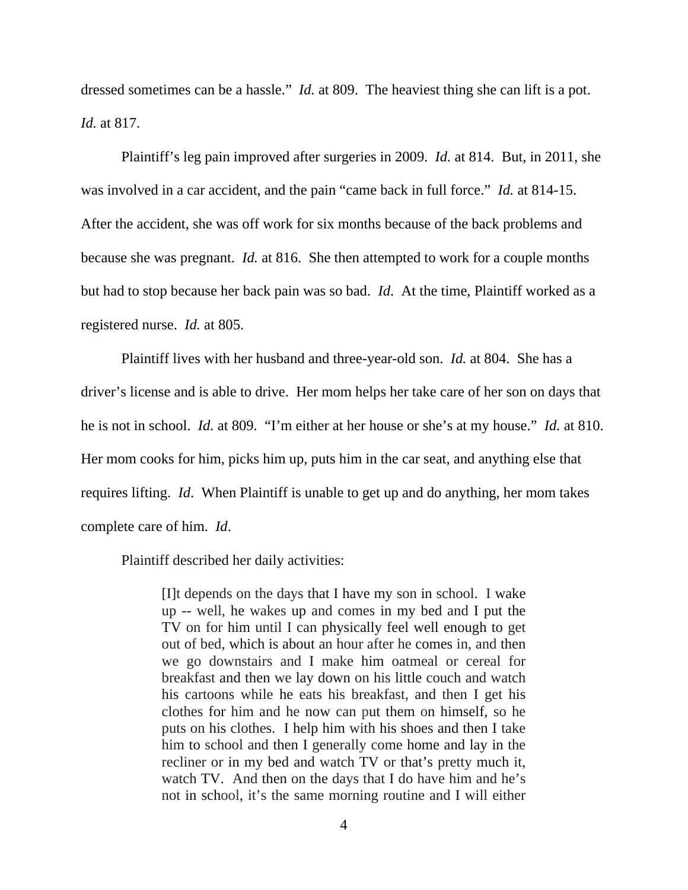dressed sometimes can be a hassle." *Id.* at 809. The heaviest thing she can lift is a pot. *Id.* at 817.

Plaintiff's leg pain improved after surgeries in 2009. *Id.* at 814. But, in 2011, she was involved in a car accident, and the pain "came back in full force." *Id.* at 814-15. After the accident, she was off work for six months because of the back problems and because she was pregnant. *Id.* at 816. She then attempted to work for a couple months but had to stop because her back pain was so bad. *Id*. At the time, Plaintiff worked as a registered nurse. *Id.* at 805.

Plaintiff lives with her husband and three-year-old son. *Id.* at 804. She has a driver's license and is able to drive. Her mom helps her take care of her son on days that he is not in school. *Id.* at 809. "I'm either at her house or she's at my house." *Id.* at 810. Her mom cooks for him, picks him up, puts him in the car seat, and anything else that requires lifting. *Id*. When Plaintiff is unable to get up and do anything, her mom takes complete care of him. *Id*.

Plaintiff described her daily activities:

[I]t depends on the days that I have my son in school. I wake up -- well, he wakes up and comes in my bed and I put the TV on for him until I can physically feel well enough to get out of bed, which is about an hour after he comes in, and then we go downstairs and I make him oatmeal or cereal for breakfast and then we lay down on his little couch and watch his cartoons while he eats his breakfast, and then I get his clothes for him and he now can put them on himself, so he puts on his clothes. I help him with his shoes and then I take him to school and then I generally come home and lay in the recliner or in my bed and watch TV or that's pretty much it, watch TV. And then on the days that I do have him and he's not in school, it's the same morning routine and I will either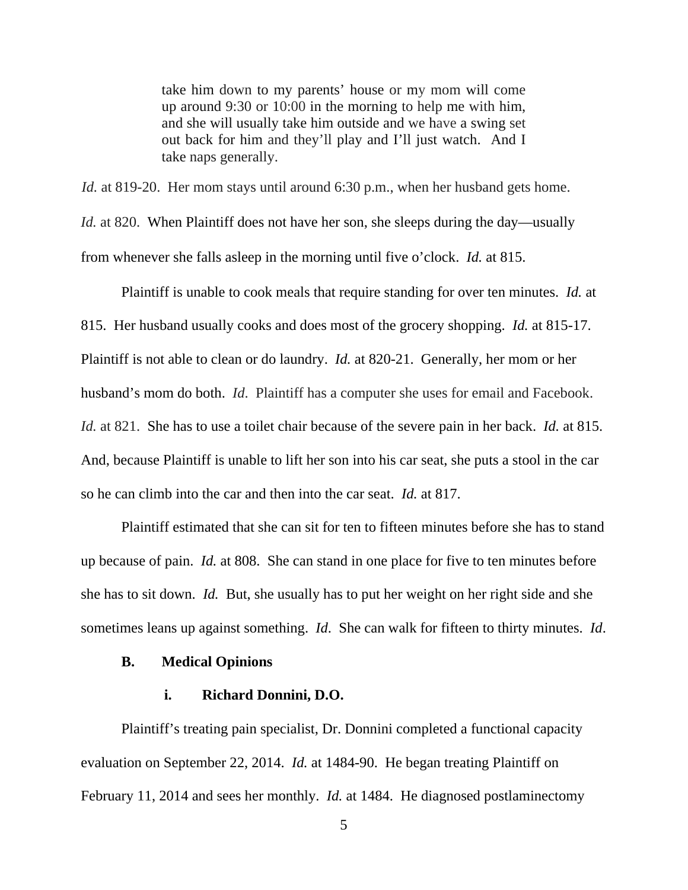take him down to my parents' house or my mom will come up around 9:30 or 10:00 in the morning to help me with him, and she will usually take him outside and we have a swing set out back for him and they'll play and I'll just watch. And I take naps generally.

*Id.* at 819-20. Her mom stays until around 6:30 p.m., when her husband gets home.

*Id.* at 820. When Plaintiff does not have her son, she sleeps during the day—usually from whenever she falls asleep in the morning until five o'clock. *Id.* at 815.

Plaintiff is unable to cook meals that require standing for over ten minutes. *Id.* at 815. Her husband usually cooks and does most of the grocery shopping. *Id.* at 815-17. Plaintiff is not able to clean or do laundry. *Id.* at 820-21. Generally, her mom or her husband's mom do both. *Id*. Plaintiff has a computer she uses for email and Facebook. *Id.* at 821. She has to use a toilet chair because of the severe pain in her back. *Id.* at 815. And, because Plaintiff is unable to lift her son into his car seat, she puts a stool in the car so he can climb into the car and then into the car seat. *Id.* at 817.

Plaintiff estimated that she can sit for ten to fifteen minutes before she has to stand up because of pain. *Id.* at 808. She can stand in one place for five to ten minutes before she has to sit down. *Id.* But, she usually has to put her weight on her right side and she sometimes leans up against something. *Id*. She can walk for fifteen to thirty minutes. *Id*.

#### **B. Medical Opinions**

#### **i. Richard Donnini, D.O.**

Plaintiff's treating pain specialist, Dr. Donnini completed a functional capacity evaluation on September 22, 2014. *Id.* at 1484-90. He began treating Plaintiff on February 11, 2014 and sees her monthly. *Id.* at 1484. He diagnosed postlaminectomy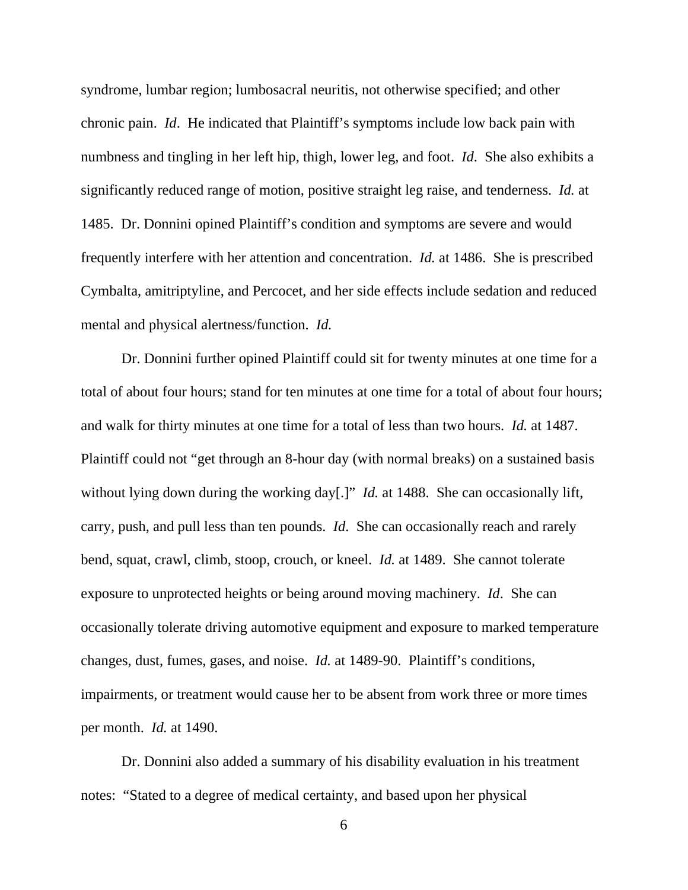syndrome, lumbar region; lumbosacral neuritis, not otherwise specified; and other chronic pain. *Id*. He indicated that Plaintiff's symptoms include low back pain with numbness and tingling in her left hip, thigh, lower leg, and foot. *Id*. She also exhibits a significantly reduced range of motion, positive straight leg raise, and tenderness. *Id.* at 1485. Dr. Donnini opined Plaintiff's condition and symptoms are severe and would frequently interfere with her attention and concentration. *Id.* at 1486. She is prescribed Cymbalta, amitriptyline, and Percocet, and her side effects include sedation and reduced mental and physical alertness/function. *Id.*

 Dr. Donnini further opined Plaintiff could sit for twenty minutes at one time for a total of about four hours; stand for ten minutes at one time for a total of about four hours; and walk for thirty minutes at one time for a total of less than two hours. *Id.* at 1487. Plaintiff could not "get through an 8-hour day (with normal breaks) on a sustained basis without lying down during the working day[.]" *Id.* at 1488. She can occasionally lift, carry, push, and pull less than ten pounds. *Id*. She can occasionally reach and rarely bend, squat, crawl, climb, stoop, crouch, or kneel. *Id.* at 1489. She cannot tolerate exposure to unprotected heights or being around moving machinery. *Id*. She can occasionally tolerate driving automotive equipment and exposure to marked temperature changes, dust, fumes, gases, and noise. *Id.* at 1489-90. Plaintiff's conditions, impairments, or treatment would cause her to be absent from work three or more times per month. *Id.* at 1490.

Dr. Donnini also added a summary of his disability evaluation in his treatment notes: "Stated to a degree of medical certainty, and based upon her physical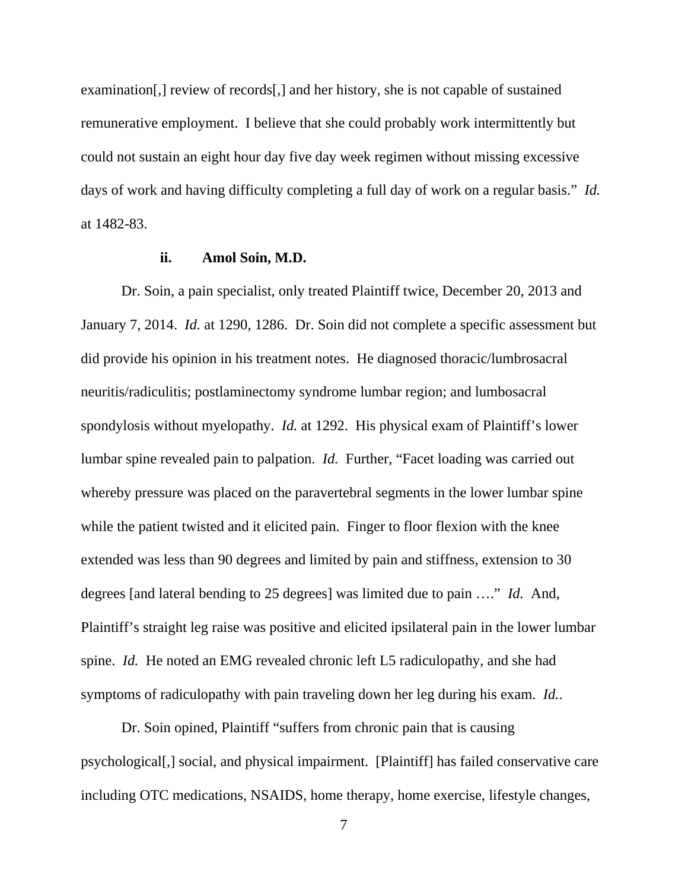examination[,] review of records[,] and her history, she is not capable of sustained remunerative employment. I believe that she could probably work intermittently but could not sustain an eight hour day five day week regimen without missing excessive days of work and having difficulty completing a full day of work on a regular basis." *Id.* at 1482-83.

#### **ii. Amol Soin, M.D.**

Dr. Soin, a pain specialist, only treated Plaintiff twice, December 20, 2013 and January 7, 2014. *Id.* at 1290, 1286. Dr. Soin did not complete a specific assessment but did provide his opinion in his treatment notes. He diagnosed thoracic/lumbrosacral neuritis/radiculitis; postlaminectomy syndrome lumbar region; and lumbosacral spondylosis without myelopathy. *Id.* at 1292. His physical exam of Plaintiff's lower lumbar spine revealed pain to palpation. *Id.* Further, "Facet loading was carried out whereby pressure was placed on the paravertebral segments in the lower lumbar spine while the patient twisted and it elicited pain. Finger to floor flexion with the knee extended was less than 90 degrees and limited by pain and stiffness, extension to 30 degrees [and lateral bending to 25 degrees] was limited due to pain …." *Id.* And, Plaintiff's straight leg raise was positive and elicited ipsilateral pain in the lower lumbar spine. *Id.* He noted an EMG revealed chronic left L5 radiculopathy, and she had symptoms of radiculopathy with pain traveling down her leg during his exam. *Id.*.

Dr. Soin opined, Plaintiff "suffers from chronic pain that is causing psychological[,] social, and physical impairment. [Plaintiff] has failed conservative care including OTC medications, NSAIDS, home therapy, home exercise, lifestyle changes,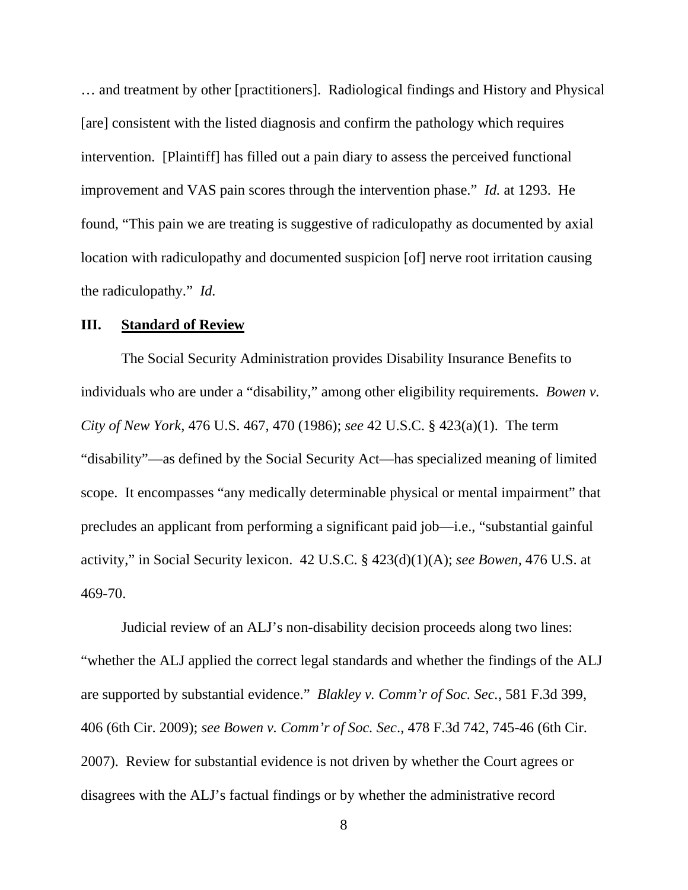… and treatment by other [practitioners]. Radiological findings and History and Physical [are] consistent with the listed diagnosis and confirm the pathology which requires intervention. [Plaintiff] has filled out a pain diary to assess the perceived functional improvement and VAS pain scores through the intervention phase." *Id.* at 1293. He found, "This pain we are treating is suggestive of radiculopathy as documented by axial location with radiculopathy and documented suspicion [of] nerve root irritation causing the radiculopathy." *Id.*

#### **III. Standard of Review**

The Social Security Administration provides Disability Insurance Benefits to individuals who are under a "disability," among other eligibility requirements. *Bowen v. City of New York,* 476 U.S. 467, 470 (1986); *see* 42 U.S.C. § 423(a)(1). The term "disability"—as defined by the Social Security Act—has specialized meaning of limited scope. It encompasses "any medically determinable physical or mental impairment" that precludes an applicant from performing a significant paid job—i.e., "substantial gainful activity," in Social Security lexicon. 42 U.S.C. § 423(d)(1)(A); *see Bowen,* 476 U.S. at 469-70.

Judicial review of an ALJ's non-disability decision proceeds along two lines: "whether the ALJ applied the correct legal standards and whether the findings of the ALJ are supported by substantial evidence." *Blakley v. Comm'r of Soc. Sec.*, 581 F.3d 399, 406 (6th Cir. 2009); *see Bowen v. Comm'r of Soc. Sec*., 478 F.3d 742, 745-46 (6th Cir. 2007). Review for substantial evidence is not driven by whether the Court agrees or disagrees with the ALJ's factual findings or by whether the administrative record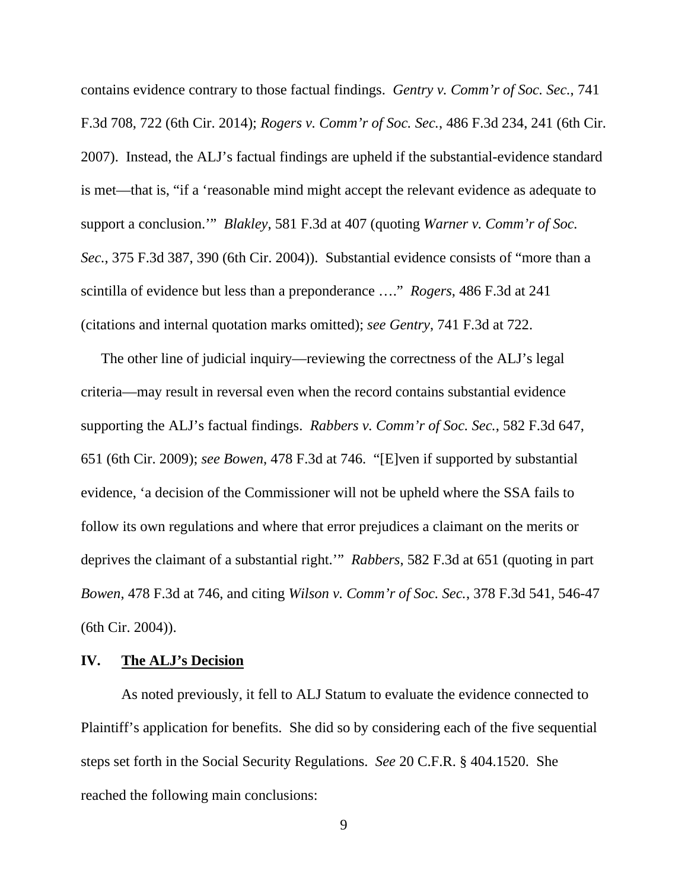contains evidence contrary to those factual findings. *Gentry v. Comm'r of Soc. Sec.*, 741 F.3d 708, 722 (6th Cir. 2014); *Rogers v. Comm'r of Soc. Sec.*, 486 F.3d 234, 241 (6th Cir. 2007). Instead, the ALJ's factual findings are upheld if the substantial-evidence standard is met—that is, "if a 'reasonable mind might accept the relevant evidence as adequate to support a conclusion.'" *Blakley*, 581 F.3d at 407 (quoting *Warner v. Comm'r of Soc. Sec.*, 375 F.3d 387, 390 (6th Cir. 2004)). Substantial evidence consists of "more than a scintilla of evidence but less than a preponderance …." *Rogers*, 486 F.3d at 241 (citations and internal quotation marks omitted); *see Gentry*, 741 F.3d at 722.

The other line of judicial inquiry—reviewing the correctness of the ALJ's legal criteria—may result in reversal even when the record contains substantial evidence supporting the ALJ's factual findings. *Rabbers v. Comm'r of Soc. Sec.*, 582 F.3d 647, 651 (6th Cir. 2009); *see Bowen*, 478 F.3d at 746. "[E]ven if supported by substantial evidence, 'a decision of the Commissioner will not be upheld where the SSA fails to follow its own regulations and where that error prejudices a claimant on the merits or deprives the claimant of a substantial right.'" *Rabbers*, 582 F.3d at 651 (quoting in part *Bowen*, 478 F.3d at 746, and citing *Wilson v. Comm'r of Soc. Sec.*, 378 F.3d 541, 546-47 (6th Cir. 2004)).

## **IV. The ALJ's Decision**

 As noted previously, it fell to ALJ Statum to evaluate the evidence connected to Plaintiff's application for benefits. She did so by considering each of the five sequential steps set forth in the Social Security Regulations. *See* 20 C.F.R. § 404.1520. She reached the following main conclusions: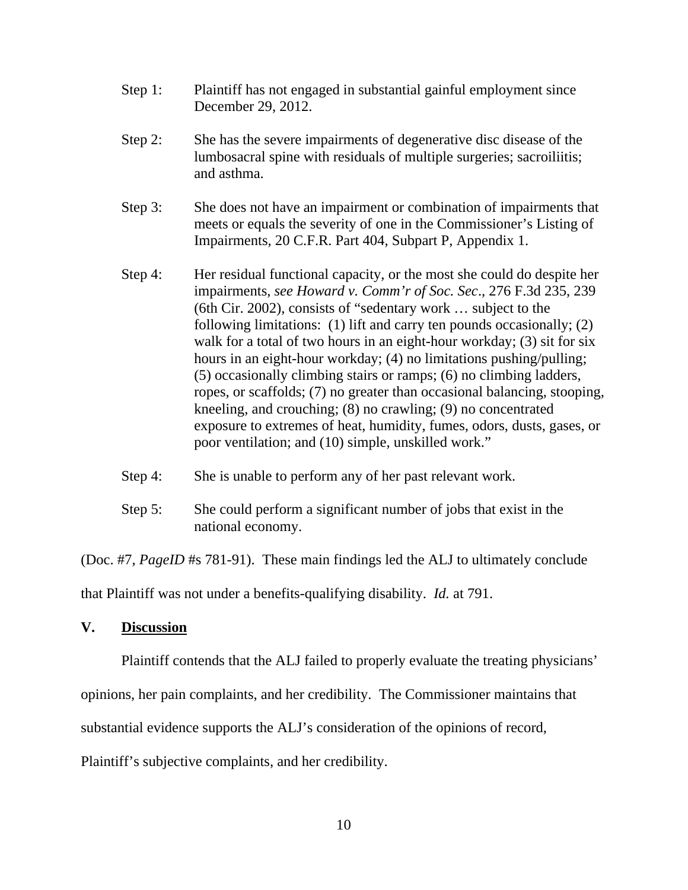- Step 1: Plaintiff has not engaged in substantial gainful employment since December 29, 2012.
- Step 2: She has the severe impairments of degenerative disc disease of the lumbosacral spine with residuals of multiple surgeries; sacroiliitis; and asthma.
- Step 3: She does not have an impairment or combination of impairments that meets or equals the severity of one in the Commissioner's Listing of Impairments, 20 C.F.R. Part 404, Subpart P, Appendix 1.
- Step 4: Her residual functional capacity, or the most she could do despite her impairments, *see Howard v. Comm'r of Soc. Sec*., 276 F.3d 235, 239 (6th Cir. 2002), consists of "sedentary work … subject to the following limitations: (1) lift and carry ten pounds occasionally; (2) walk for a total of two hours in an eight-hour workday; (3) sit for six hours in an eight-hour workday; (4) no limitations pushing/pulling; (5) occasionally climbing stairs or ramps; (6) no climbing ladders, ropes, or scaffolds; (7) no greater than occasional balancing, stooping, kneeling, and crouching; (8) no crawling; (9) no concentrated exposure to extremes of heat, humidity, fumes, odors, dusts, gases, or poor ventilation; and (10) simple, unskilled work."
- Step 4: She is unable to perform any of her past relevant work.
- Step 5: She could perform a significant number of jobs that exist in the national economy.

(Doc. #7, *PageID* #s 781-91). These main findings led the ALJ to ultimately conclude

that Plaintiff was not under a benefits-qualifying disability. *Id.* at 791.

#### **V. Discussion**

Plaintiff contends that the ALJ failed to properly evaluate the treating physicians'

opinions, her pain complaints, and her credibility. The Commissioner maintains that

substantial evidence supports the ALJ's consideration of the opinions of record,

Plaintiff's subjective complaints, and her credibility.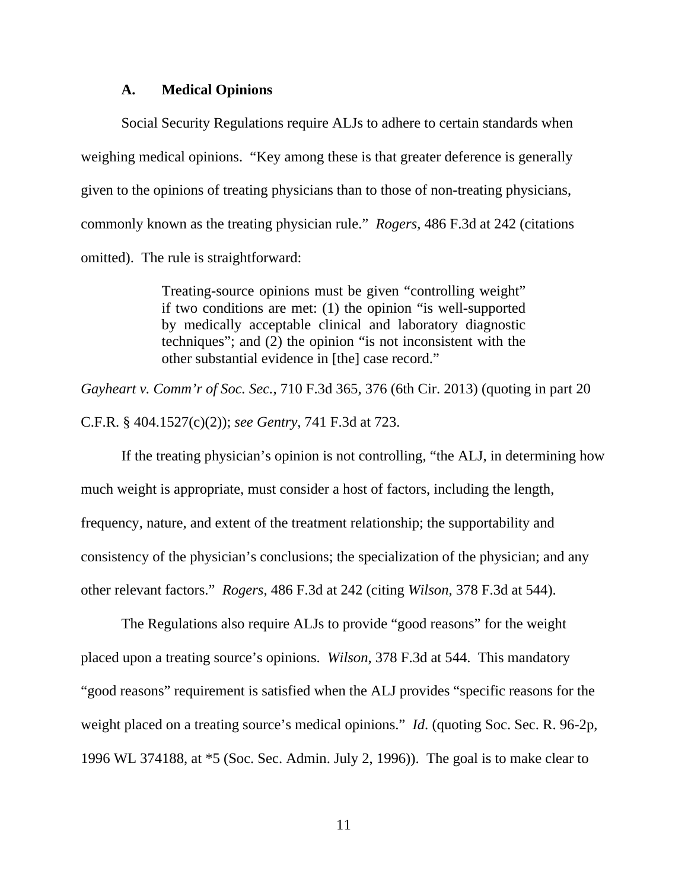#### **A. Medical Opinions**

Social Security Regulations require ALJs to adhere to certain standards when weighing medical opinions. "Key among these is that greater deference is generally given to the opinions of treating physicians than to those of non-treating physicians, commonly known as the treating physician rule." *Rogers,* 486 F.3d at 242 (citations omitted). The rule is straightforward:

> Treating-source opinions must be given "controlling weight" if two conditions are met: (1) the opinion "is well-supported by medically acceptable clinical and laboratory diagnostic techniques"; and (2) the opinion "is not inconsistent with the other substantial evidence in [the] case record."

*Gayheart v. Comm'r of Soc. Sec.*, 710 F.3d 365, 376 (6th Cir. 2013) (quoting in part 20 C.F.R. § 404.1527(c)(2)); *see Gentry*, 741 F.3d at 723.

If the treating physician's opinion is not controlling, "the ALJ, in determining how much weight is appropriate, must consider a host of factors, including the length, frequency, nature, and extent of the treatment relationship; the supportability and consistency of the physician's conclusions; the specialization of the physician; and any other relevant factors." *Rogers*, 486 F.3d at 242 (citing *Wilson*, 378 F.3d at 544).

 The Regulations also require ALJs to provide "good reasons" for the weight placed upon a treating source's opinions. *Wilson*, 378 F.3d at 544. This mandatory "good reasons" requirement is satisfied when the ALJ provides "specific reasons for the weight placed on a treating source's medical opinions." *Id*. (quoting Soc. Sec. R. 96-2p, 1996 WL 374188, at \*5 (Soc. Sec. Admin. July 2, 1996)). The goal is to make clear to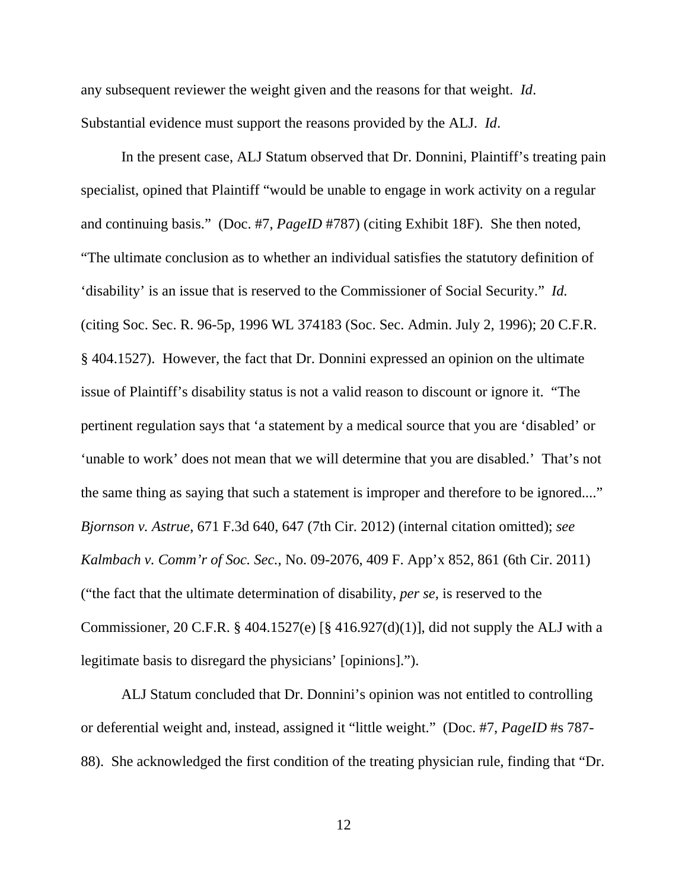any subsequent reviewer the weight given and the reasons for that weight. *Id*. Substantial evidence must support the reasons provided by the ALJ. *Id*.

In the present case, ALJ Statum observed that Dr. Donnini, Plaintiff's treating pain specialist, opined that Plaintiff "would be unable to engage in work activity on a regular and continuing basis." (Doc. #7, *PageID* #787) (citing Exhibit 18F). She then noted, "The ultimate conclusion as to whether an individual satisfies the statutory definition of 'disability' is an issue that is reserved to the Commissioner of Social Security." *Id.* (citing Soc. Sec. R. 96-5p, 1996 WL 374183 (Soc. Sec. Admin. July 2, 1996); 20 C.F.R. § 404.1527). However, the fact that Dr. Donnini expressed an opinion on the ultimate issue of Plaintiff's disability status is not a valid reason to discount or ignore it. "The pertinent regulation says that 'a statement by a medical source that you are 'disabled' or 'unable to work' does not mean that we will determine that you are disabled.' That's not the same thing as saying that such a statement is improper and therefore to be ignored...." *Bjornson v. Astrue*, 671 F.3d 640, 647 (7th Cir. 2012) (internal citation omitted); *see Kalmbach v. Comm'r of Soc. Sec.*, No. 09-2076, 409 F. App'x 852, 861 (6th Cir. 2011) ("the fact that the ultimate determination of disability, *per se,* is reserved to the Commissioner, 20 C.F.R. § 404.1527(e) [§ 416.927(d)(1)], did not supply the ALJ with a legitimate basis to disregard the physicians' [opinions].").

ALJ Statum concluded that Dr. Donnini's opinion was not entitled to controlling or deferential weight and, instead, assigned it "little weight." (Doc. #7, *PageID* #s 787- 88). She acknowledged the first condition of the treating physician rule, finding that "Dr.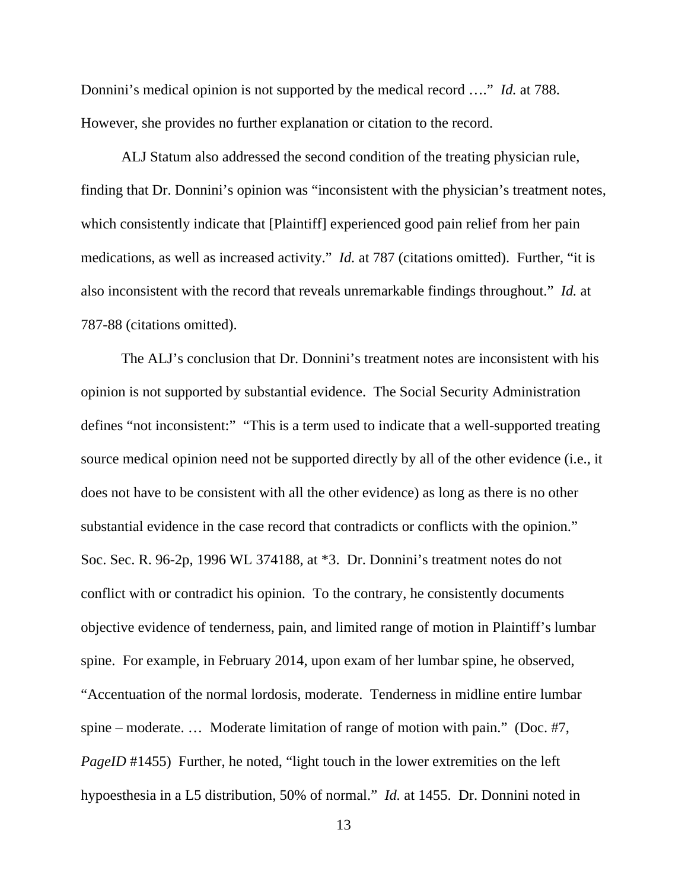Donnini's medical opinion is not supported by the medical record …." *Id.* at 788. However, she provides no further explanation or citation to the record.

ALJ Statum also addressed the second condition of the treating physician rule, finding that Dr. Donnini's opinion was "inconsistent with the physician's treatment notes, which consistently indicate that [Plaintiff] experienced good pain relief from her pain medications, as well as increased activity." *Id.* at 787 (citations omitted). Further, "it is also inconsistent with the record that reveals unremarkable findings throughout." *Id.* at 787-88 (citations omitted).

The ALJ's conclusion that Dr. Donnini's treatment notes are inconsistent with his opinion is not supported by substantial evidence. The Social Security Administration defines "not inconsistent:" "This is a term used to indicate that a well-supported treating source medical opinion need not be supported directly by all of the other evidence (i.e., it does not have to be consistent with all the other evidence) as long as there is no other substantial evidence in the case record that contradicts or conflicts with the opinion." Soc. Sec. R. 96-2p, 1996 WL 374188, at \*3. Dr. Donnini's treatment notes do not conflict with or contradict his opinion. To the contrary, he consistently documents objective evidence of tenderness, pain, and limited range of motion in Plaintiff's lumbar spine. For example, in February 2014, upon exam of her lumbar spine, he observed, "Accentuation of the normal lordosis, moderate. Tenderness in midline entire lumbar spine – moderate. … Moderate limitation of range of motion with pain." (Doc. #7, *PageID* #1455) Further, he noted, "light touch in the lower extremities on the left hypoesthesia in a L5 distribution, 50% of normal." *Id.* at 1455. Dr. Donnini noted in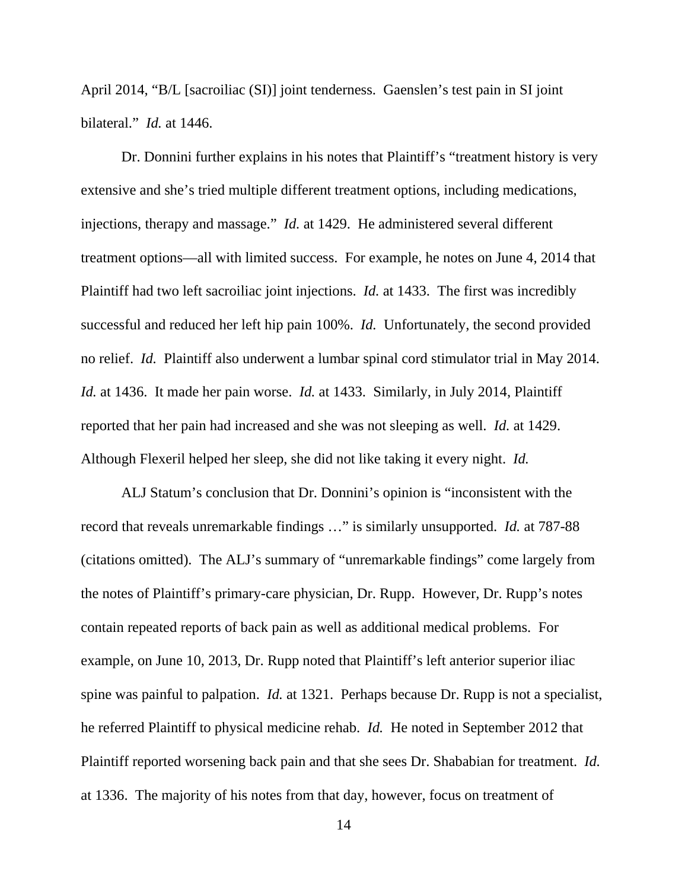April 2014, "B/L [sacroiliac (SI)] joint tenderness. Gaenslen's test pain in SI joint bilateral." *Id.* at 1446.

Dr. Donnini further explains in his notes that Plaintiff's "treatment history is very extensive and she's tried multiple different treatment options, including medications, injections, therapy and massage." *Id.* at 1429. He administered several different treatment options—all with limited success. For example, he notes on June 4, 2014 that Plaintiff had two left sacroiliac joint injections. *Id.* at 1433. The first was incredibly successful and reduced her left hip pain 100%. *Id.* Unfortunately, the second provided no relief. *Id.* Plaintiff also underwent a lumbar spinal cord stimulator trial in May 2014. *Id.* at 1436. It made her pain worse. *Id.* at 1433. Similarly, in July 2014, Plaintiff reported that her pain had increased and she was not sleeping as well. *Id.* at 1429. Although Flexeril helped her sleep, she did not like taking it every night. *Id.* 

ALJ Statum's conclusion that Dr. Donnini's opinion is "inconsistent with the record that reveals unremarkable findings …" is similarly unsupported. *Id.* at 787-88 (citations omitted). The ALJ's summary of "unremarkable findings" come largely from the notes of Plaintiff's primary-care physician, Dr. Rupp. However, Dr. Rupp's notes contain repeated reports of back pain as well as additional medical problems. For example, on June 10, 2013, Dr. Rupp noted that Plaintiff's left anterior superior iliac spine was painful to palpation. *Id.* at 1321. Perhaps because Dr. Rupp is not a specialist, he referred Plaintiff to physical medicine rehab. *Id.* He noted in September 2012 that Plaintiff reported worsening back pain and that she sees Dr. Shababian for treatment. *Id.* at 1336. The majority of his notes from that day, however, focus on treatment of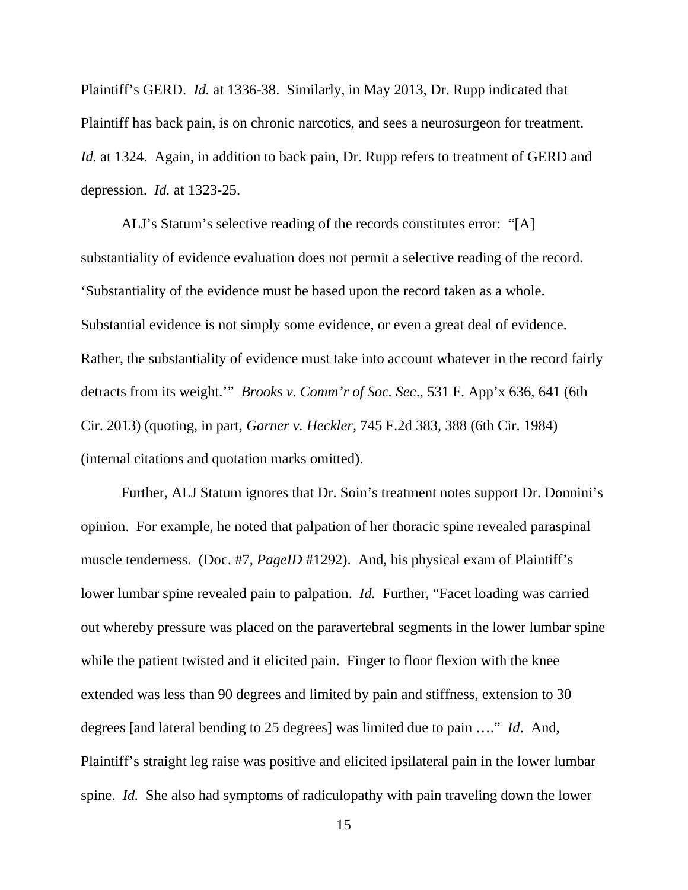Plaintiff's GERD. *Id.* at 1336-38. Similarly, in May 2013, Dr. Rupp indicated that Plaintiff has back pain, is on chronic narcotics, and sees a neurosurgeon for treatment. *Id.* at 1324. Again, in addition to back pain, Dr. Rupp refers to treatment of GERD and depression. *Id.* at 1323-25.

ALJ's Statum's selective reading of the records constitutes error: "[A] substantiality of evidence evaluation does not permit a selective reading of the record. 'Substantiality of the evidence must be based upon the record taken as a whole. Substantial evidence is not simply some evidence, or even a great deal of evidence. Rather, the substantiality of evidence must take into account whatever in the record fairly detracts from its weight.'" *Brooks v. Comm'r of Soc. Sec*., 531 F. App'x 636, 641 (6th Cir. 2013) (quoting, in part, *Garner v. Heckler,* 745 F.2d 383, 388 (6th Cir. 1984) (internal citations and quotation marks omitted).

 Further, ALJ Statum ignores that Dr. Soin's treatment notes support Dr. Donnini's opinion. For example, he noted that palpation of her thoracic spine revealed paraspinal muscle tenderness. (Doc. #7, *PageID* #1292). And, his physical exam of Plaintiff's lower lumbar spine revealed pain to palpation. *Id.* Further, "Facet loading was carried out whereby pressure was placed on the paravertebral segments in the lower lumbar spine while the patient twisted and it elicited pain. Finger to floor flexion with the knee extended was less than 90 degrees and limited by pain and stiffness, extension to 30 degrees [and lateral bending to 25 degrees] was limited due to pain …." *Id*. And, Plaintiff's straight leg raise was positive and elicited ipsilateral pain in the lower lumbar spine. *Id.* She also had symptoms of radiculopathy with pain traveling down the lower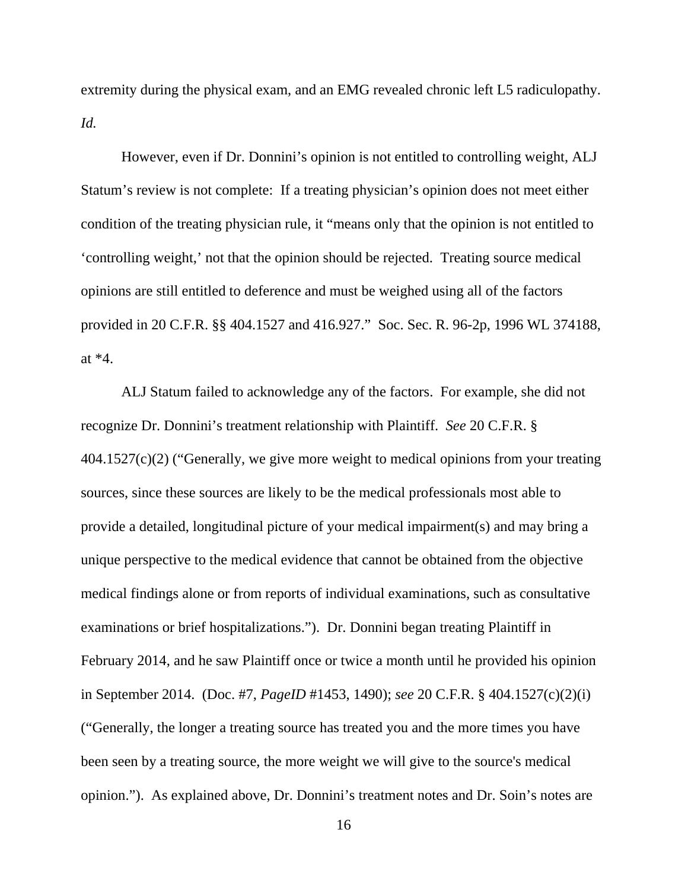extremity during the physical exam, and an EMG revealed chronic left L5 radiculopathy. *Id.*

However, even if Dr. Donnini's opinion is not entitled to controlling weight, ALJ Statum's review is not complete: If a treating physician's opinion does not meet either condition of the treating physician rule, it "means only that the opinion is not entitled to 'controlling weight,' not that the opinion should be rejected. Treating source medical opinions are still entitled to deference and must be weighed using all of the factors provided in 20 C.F.R. §§ 404.1527 and 416.927." Soc. Sec. R. 96-2p, 1996 WL 374188, at \*4.

ALJ Statum failed to acknowledge any of the factors. For example, she did not recognize Dr. Donnini's treatment relationship with Plaintiff. *See* 20 C.F.R. § 404.1527(c)(2) ("Generally, we give more weight to medical opinions from your treating sources, since these sources are likely to be the medical professionals most able to provide a detailed, longitudinal picture of your medical impairment(s) and may bring a unique perspective to the medical evidence that cannot be obtained from the objective medical findings alone or from reports of individual examinations, such as consultative examinations or brief hospitalizations."). Dr. Donnini began treating Plaintiff in February 2014, and he saw Plaintiff once or twice a month until he provided his opinion in September 2014. (Doc. #7, *PageID* #1453, 1490); *see* 20 C.F.R. § 404.1527(c)(2)(i) ("Generally, the longer a treating source has treated you and the more times you have been seen by a treating source, the more weight we will give to the source's medical opinion."). As explained above, Dr. Donnini's treatment notes and Dr. Soin's notes are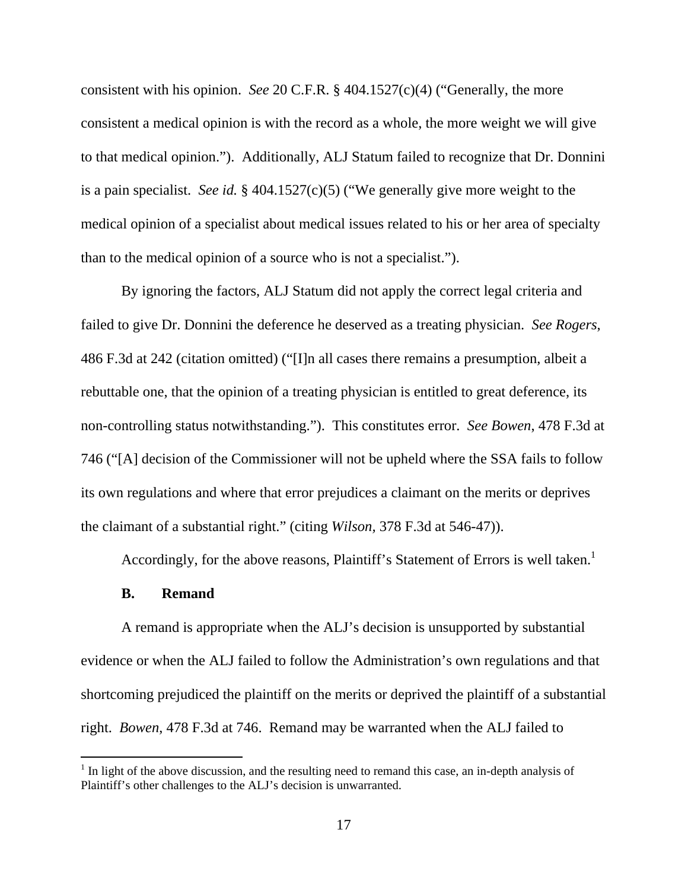consistent with his opinion. *See* 20 C.F.R. § 404.1527(c)(4) ("Generally, the more consistent a medical opinion is with the record as a whole, the more weight we will give to that medical opinion."). Additionally, ALJ Statum failed to recognize that Dr. Donnini is a pain specialist. *See id.* § 404.1527(c)(5) ("We generally give more weight to the medical opinion of a specialist about medical issues related to his or her area of specialty than to the medical opinion of a source who is not a specialist.").

By ignoring the factors, ALJ Statum did not apply the correct legal criteria and failed to give Dr. Donnini the deference he deserved as a treating physician. *See Rogers*, 486 F.3d at 242 (citation omitted) ("[I]n all cases there remains a presumption, albeit a rebuttable one, that the opinion of a treating physician is entitled to great deference, its non-controlling status notwithstanding."). This constitutes error. *See Bowen*, 478 F.3d at 746 ("[A] decision of the Commissioner will not be upheld where the SSA fails to follow its own regulations and where that error prejudices a claimant on the merits or deprives the claimant of a substantial right." (citing *Wilson,* 378 F.3d at 546-47)).

Accordingly, for the above reasons, Plaintiff's Statement of Errors is well taken.<sup>1</sup>

## **B. Remand**

A remand is appropriate when the ALJ's decision is unsupported by substantial evidence or when the ALJ failed to follow the Administration's own regulations and that shortcoming prejudiced the plaintiff on the merits or deprived the plaintiff of a substantial right. *Bowen*, 478 F.3d at 746. Remand may be warranted when the ALJ failed to

 $<sup>1</sup>$  In light of the above discussion, and the resulting need to remand this case, an in-depth analysis of</sup> Plaintiff's other challenges to the ALJ's decision is unwarranted.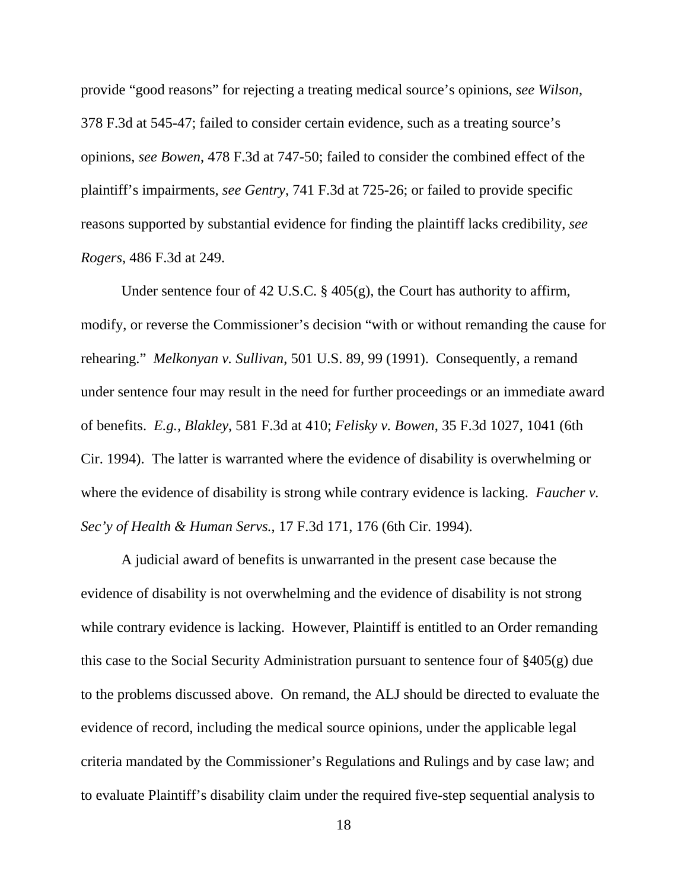provide "good reasons" for rejecting a treating medical source's opinions, *see Wilson*, 378 F.3d at 545-47; failed to consider certain evidence, such as a treating source's opinions, *see Bowen*, 478 F.3d at 747-50; failed to consider the combined effect of the plaintiff's impairments, *see Gentry*, 741 F.3d at 725-26; or failed to provide specific reasons supported by substantial evidence for finding the plaintiff lacks credibility, *see Rogers*, 486 F.3d at 249.

Under sentence four of 42 U.S.C. § 405(g), the Court has authority to affirm, modify, or reverse the Commissioner's decision "with or without remanding the cause for rehearing." *Melkonyan v. Sullivan*, 501 U.S. 89, 99 (1991). Consequently, a remand under sentence four may result in the need for further proceedings or an immediate award of benefits. *E.g., Blakley*, 581 F.3d at 410; *Felisky v. Bowen*, 35 F.3d 1027, 1041 (6th Cir. 1994). The latter is warranted where the evidence of disability is overwhelming or where the evidence of disability is strong while contrary evidence is lacking. *Faucher v. Sec'y of Health & Human Servs.*, 17 F.3d 171, 176 (6th Cir. 1994).

A judicial award of benefits is unwarranted in the present case because the evidence of disability is not overwhelming and the evidence of disability is not strong while contrary evidence is lacking. However, Plaintiff is entitled to an Order remanding this case to the Social Security Administration pursuant to sentence four of §405(g) due to the problems discussed above. On remand, the ALJ should be directed to evaluate the evidence of record, including the medical source opinions, under the applicable legal criteria mandated by the Commissioner's Regulations and Rulings and by case law; and to evaluate Plaintiff's disability claim under the required five-step sequential analysis to